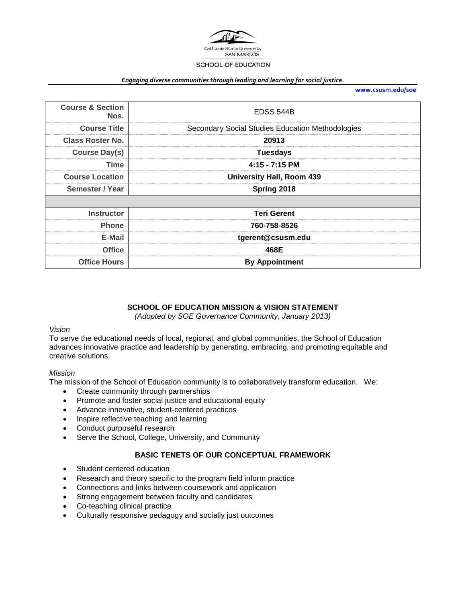

#### *Engaging diverse communities through leading and learning for social justice.*

**[www.csusm.edu/soe](http://www.csusm.edu/soe)**

| <b>Course &amp; Section</b><br>Nos. | <b>EDSS 544B</b>                                 |  |
|-------------------------------------|--------------------------------------------------|--|
| <b>Course Title</b>                 | Secondary Social Studies Education Methodologies |  |
| <b>Class Roster No.</b>             | 20913                                            |  |
| <b>Course Day(s)</b>                | <b>Tuesdays</b>                                  |  |
| Time                                | $4:15 - 7:15$ PM                                 |  |
| <b>Course Location</b>              | <b>University Hall, Room 439</b>                 |  |
| Semester / Year                     | Spring 2018                                      |  |
|                                     |                                                  |  |
| <b>Instructor</b>                   | <b>Teri Gerent</b>                               |  |
| <b>Phone</b>                        | 760-758-8526                                     |  |
| E-Mail                              | tgerent@csusm.edu                                |  |
| <b>Office</b>                       | 468E                                             |  |
| <b>Office Hours</b>                 | <b>By Appointment</b>                            |  |

## **SCHOOL OF EDUCATION MISSION & VISION STATEMENT**

*(Adopted by SOE Governance Community, January 2013)*

## *Vision*

To serve the educational needs of local, regional, and global communities, the School of Education advances innovative practice and leadership by generating, embracing, and promoting equitable and creative solutions.

#### *Mission*

The mission of the School of Education community is to collaboratively transform education. We:

- Create community through partnerships
- Promote and foster social justice and educational equity
- Advance innovative, student-centered practices
- Inspire reflective teaching and learning
- Conduct purposeful research
- Serve the School, College, University, and Community

## **BASIC TENETS OF OUR CONCEPTUAL FRAMEWORK**

- Student centered education
- Research and theory specific to the program field inform practice
- Connections and links between coursework and application
- Strong engagement between faculty and candidates
- Co-teaching clinical practice
- Culturally responsive pedagogy and socially just outcomes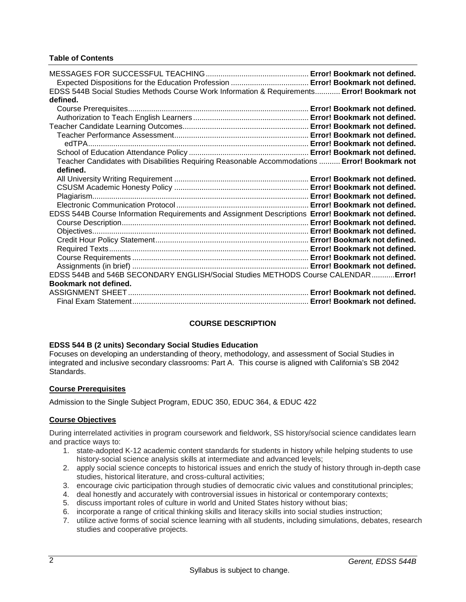## **Table of Contents**

| EDSS 544B Social Studies Methods Course Work Information & Requirements Error! Bookmark not<br>defined.   |  |
|-----------------------------------------------------------------------------------------------------------|--|
|                                                                                                           |  |
|                                                                                                           |  |
|                                                                                                           |  |
|                                                                                                           |  |
|                                                                                                           |  |
|                                                                                                           |  |
| Teacher Candidates with Disabilities Requiring Reasonable Accommodations  Error! Bookmark not<br>defined. |  |
|                                                                                                           |  |
|                                                                                                           |  |
|                                                                                                           |  |
|                                                                                                           |  |
| EDSS 544B Course Information Requirements and Assignment Descriptions Error! Bookmark not defined.        |  |
|                                                                                                           |  |
|                                                                                                           |  |
|                                                                                                           |  |
|                                                                                                           |  |
|                                                                                                           |  |
|                                                                                                           |  |
| EDSS 544B and 546B SECONDARY ENGLISH/Social Studies METHODS Course CALENDAR Error!                        |  |
| Bookmark not defined.                                                                                     |  |
|                                                                                                           |  |
|                                                                                                           |  |

# **COURSE DESCRIPTION**

## **EDSS 544 B (2 units) Secondary Social Studies Education**

Focuses on developing an understanding of theory, methodology, and assessment of Social Studies in integrated and inclusive secondary classrooms: Part A. This course is aligned with California's SB 2042 Standards.

## **Course Prerequisites**

Admission to the Single Subject Program, EDUC 350, EDUC 364, & EDUC 422

# **Course Objectives**

During interrelated activities in program coursework and fieldwork, SS history/social science candidates learn and practice ways to:

- 1. state-adopted K-12 academic content standards for students in history while helping students to use history-social science analysis skills at intermediate and advanced levels;
- 2. apply social science concepts to historical issues and enrich the study of history through in-depth case studies, historical literature, and cross-cultural activities;
- 3. encourage civic participation through studies of democratic civic values and constitutional principles;
- 4. deal honestly and accurately with controversial issues in historical or contemporary contexts;
- 5. discuss important roles of culture in world and United States history without bias;
- 6. incorporate a range of critical thinking skills and literacy skills into social studies instruction;
- 7. utilize active forms of social science learning with all students, including simulations, debates, research studies and cooperative projects.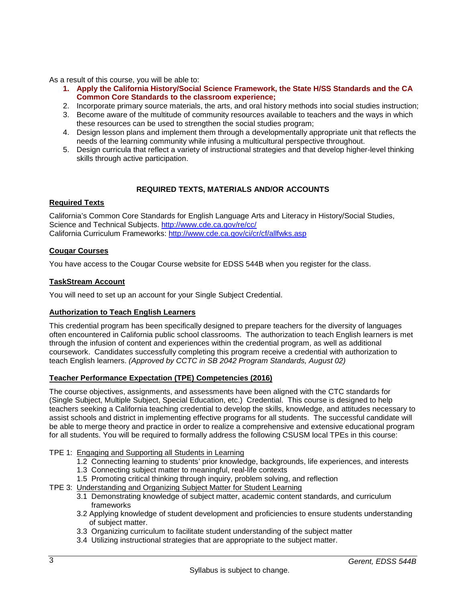As a result of this course, you will be able to:

- **1. Apply the California History/Social Science Framework, the State H/SS Standards and the CA Common Core Standards to the classroom experience;**
- 2. Incorporate primary source materials, the arts, and oral history methods into social studies instruction;
- 3. Become aware of the multitude of community resources available to teachers and the ways in which these resources can be used to strengthen the social studies program;
- 4. Design lesson plans and implement them through a developmentally appropriate unit that reflects the needs of the learning community while infusing a multicultural perspective throughout.
- 5. Design curricula that reflect a variety of instructional strategies and that develop higher-level thinking skills through active participation.

# **REQUIRED TEXTS, MATERIALS AND/OR ACCOUNTS**

# **Required Texts**

California's Common Core Standards for English Language Arts and Literacy in History/Social Studies, Science and Technical Subjects.<http://www.cde.ca.gov/re/cc/> California Curriculum Frameworks:<http://www.cde.ca.gov/ci/cr/cf/allfwks.asp>

## **Cougar Courses**

You have access to the Cougar Course website for EDSS 544B when you register for the class.

## **TaskStream Account**

You will need to set up an account for your Single Subject Credential.

# **Authorization to Teach English Learners**

This credential program has been specifically designed to prepare teachers for the diversity of languages often encountered in California public school classrooms. The authorization to teach English learners is met through the infusion of content and experiences within the credential program, as well as additional coursework. Candidates successfully completing this program receive a credential with authorization to teach English learners. *(Approved by CCTC in SB 2042 Program Standards, August 02)*

# **Teacher Performance Expectation (TPE) Competencies (2016)**

The course objectives, assignments, and assessments have been aligned with the CTC standards for (Single Subject, Multiple Subject, Special Education, etc.) Credential. This course is designed to help teachers seeking a California teaching credential to develop the skills, knowledge, and attitudes necessary to assist schools and district in implementing effective programs for all students. The successful candidate will be able to merge theory and practice in order to realize a comprehensive and extensive educational program for all students. You will be required to formally address the following CSUSM local TPEs in this course:

## TPE 1: Engaging and Supporting all Students in Learning

- 1.2 Connecting learning to students' prior knowledge, backgrounds, life experiences, and interests
- 1.3 Connecting subject matter to meaningful, real-life contexts
- 1.5 Promoting critical thinking through inquiry, problem solving, and reflection
- TPE 3: Understanding and Organizing Subject Matter for Student Learning
	- 3.1 Demonstrating knowledge of subject matter, academic content standards, and curriculum frameworks
	- 3.2 Applying knowledge of student development and proficiencies to ensure students understanding of subject matter.
	- 3.3 Organizing curriculum to facilitate student understanding of the subject matter
	- 3.4 Utilizing instructional strategies that are appropriate to the subject matter.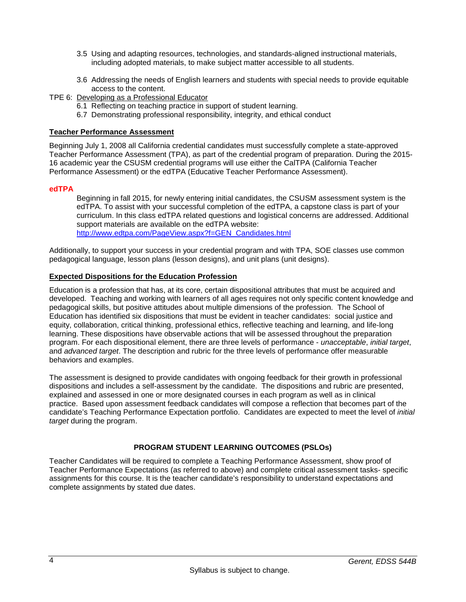- 3.5 Using and adapting resources, technologies, and standards-aligned instructional materials, including adopted materials, to make subject matter accessible to all students.
- 3.6 Addressing the needs of English learners and students with special needs to provide equitable access to the content.
- TPE 6: Developing as a Professional Educator
	- 6.1 Reflecting on teaching practice in support of student learning.
	- 6.7 Demonstrating professional responsibility, integrity, and ethical conduct

## **Teacher Performance Assessment**

Beginning July 1, 2008 all California credential candidates must successfully complete a state-approved Teacher Performance Assessment (TPA), as part of the credential program of preparation. During the 2015- 16 academic year the CSUSM credential programs will use either the CalTPA (California Teacher Performance Assessment) or the edTPA (Educative Teacher Performance Assessment).

## **edTPA**

Beginning in fall 2015, for newly entering initial candidates, the CSUSM assessment system is the edTPA. To assist with your successful completion of the edTPA, a capstone class is part of your curriculum. In this class edTPA related questions and logistical concerns are addressed. Additional support materials are available on the edTPA website: [http://www.edtpa.com/PageView.aspx?f=GEN\\_Candidates.html](http://www.edtpa.com/PageView.aspx?f=GEN_Candidates.html)

Additionally, to support your success in your credential program and with TPA, SOE classes use common pedagogical language, lesson plans (lesson designs), and unit plans (unit designs).

## **Expected Dispositions for the Education Profession**

Education is a profession that has, at its core, certain dispositional attributes that must be acquired and developed. Teaching and working with learners of all ages requires not only specific content knowledge and pedagogical skills, but positive attitudes about multiple dimensions of the profession. The School of Education has identified six dispositions that must be evident in teacher candidates: social justice and equity, collaboration, critical thinking, professional ethics, reflective teaching and learning, and life-long learning. These dispositions have observable actions that will be assessed throughout the preparation program. For each dispositional element, there are three levels of performance - *unacceptable*, *initial target*, and *advanced target*. The description and rubric for the three levels of performance offer measurable behaviors and examples.

The assessment is designed to provide candidates with ongoing feedback for their growth in professional dispositions and includes a self-assessment by the candidate. The dispositions and rubric are presented, explained and assessed in one or more designated courses in each program as well as in clinical practice. Based upon assessment feedback candidates will compose a reflection that becomes part of the candidate's Teaching Performance Expectation portfolio. Candidates are expected to meet the level of *initial target* during the program.

## **PROGRAM STUDENT LEARNING OUTCOMES (PSLOs)**

Teacher Candidates will be required to complete a Teaching Performance Assessment, show proof of Teacher Performance Expectations (as referred to above) and complete critical assessment tasks- specific assignments for this course. It is the teacher candidate's responsibility to understand expectations and complete assignments by stated due dates.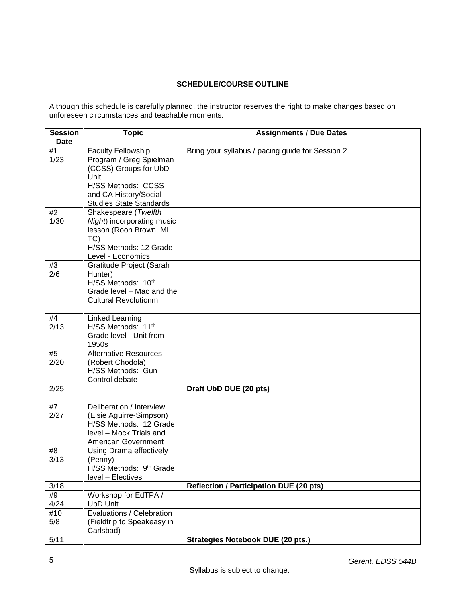# **SCHEDULE/COURSE OUTLINE**

Although this schedule is carefully planned, the instructor reserves the right to make changes based on unforeseen circumstances and teachable moments.

| <b>Session</b> | <b>Topic</b>                                                                           | <b>Assignments / Due Dates</b>                    |
|----------------|----------------------------------------------------------------------------------------|---------------------------------------------------|
| <b>Date</b>    |                                                                                        |                                                   |
| #1<br>1/23     | <b>Faculty Fellowship</b><br>Program / Greg Spielman<br>(CCSS) Groups for UbD<br>Unit  | Bring your syllabus / pacing guide for Session 2. |
|                | H/SS Methods: CCSS<br>and CA History/Social                                            |                                                   |
|                | <b>Studies State Standards</b>                                                         |                                                   |
| #2<br>1/30     | Shakespeare (Twelfth                                                                   |                                                   |
|                | Night) incorporating music<br>lesson (Roon Brown, ML<br>TC)<br>H/SS Methods: 12 Grade  |                                                   |
|                | Level - Economics                                                                      |                                                   |
| #3<br>2/6      | Gratitude Project (Sarah<br>Hunter)<br>H/SS Methods: 10th<br>Grade level - Mao and the |                                                   |
|                | <b>Cultural Revolutionm</b>                                                            |                                                   |
| #4             | Linked Learning                                                                        |                                                   |
| 2/13           | H/SS Methods: 11th<br>Grade level - Unit from<br>1950s                                 |                                                   |
| #5             | <b>Alternative Resources</b>                                                           |                                                   |
| 2/20           | (Robert Chodola)<br>H/SS Methods: Gun<br>Control debate                                |                                                   |
| 2/25           |                                                                                        | Draft UbD DUE (20 pts)                            |
| #7             | Deliberation / Interview                                                               |                                                   |
| 2/27           | (Elsie Aguirre-Simpson)<br>H/SS Methods: 12 Grade                                      |                                                   |
|                | level - Mock Trials and<br>American Government                                         |                                                   |
| #8<br>3/13     | Using Drama effectively<br>(Penny)<br>H/SS Methods: 9th Grade<br>level - Electives     |                                                   |
| 3/18           |                                                                                        | <b>Reflection / Participation DUE (20 pts)</b>    |
| #9<br>4/24     | Workshop for EdTPA /<br><b>UbD Unit</b>                                                |                                                   |
| #10            | Evaluations / Celebration                                                              |                                                   |
| 5/8            | (Fieldtrip to Speakeasy in<br>Carlsbad)                                                |                                                   |
| 5/11           |                                                                                        | <b>Strategies Notebook DUE (20 pts.)</b>          |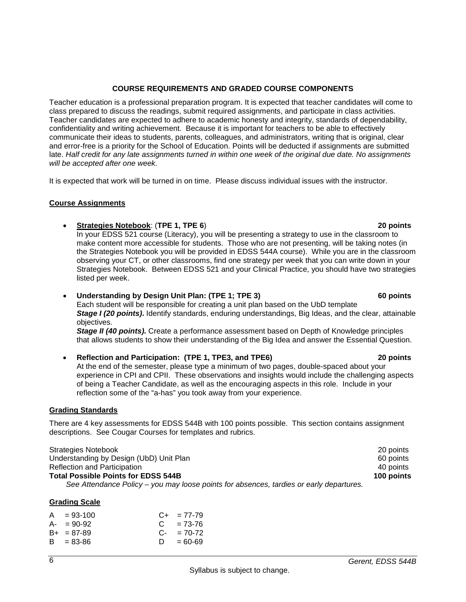# **COURSE REQUIREMENTS AND GRADED COURSE COMPONENTS**

Teacher education is a professional preparation program. It is expected that teacher candidates will come to class prepared to discuss the readings, submit required assignments, and participate in class activities. Teacher candidates are expected to adhere to academic honesty and integrity, standards of dependability, confidentiality and writing achievement. Because it is important for teachers to be able to effectively communicate their ideas to students, parents, colleagues, and administrators, writing that is original, clear and error-free is a priority for the School of Education. Points will be deducted if assignments are submitted late. *Half credit for any late assignments turned in within one week of the original due date. No assignments will be accepted after one week.*

It is expected that work will be turned in on time. Please discuss individual issues with the instructor.

# **Course Assignments**

• **Strategies Notebook**: (**TPE 1, TPE 6**) **20 points**

In your EDSS 521 course (Literacy), you will be presenting a strategy to use in the classroom to make content more accessible for students. Those who are not presenting, will be taking notes (in the Strategies Notebook you will be provided in EDSS 544A course). While you are in the classroom observing your CT, or other classrooms, find one strategy per week that you can write down in your Strategies Notebook. Between EDSS 521 and your Clinical Practice, you should have two strategies listed per week.

#### • **Understanding by Design Unit Plan: (TPE 1; TPE 3) 60 points** Each student will be responsible for creating a unit plan based on the UbD template *Stage I (20 points)***.** Identify standards, enduring understandings, Big Ideas, and the clear, attainable

objectives. *Stage II (40 points).* Create a performance assessment based on Depth of Knowledge principles

that allows students to show their understanding of the Big Idea and answer the Essential Question.

• **Reflection and Participation: (TPE 1, TPE3, and TPE6) 20 points** At the end of the semester, please type a minimum of two pages, double-spaced about your experience in CPI and CPII. These observations and insights would include the challenging aspects of being a Teacher Candidate, as well as the encouraging aspects in this role. Include in your reflection some of the "a-has" you took away from your experience.

# **Grading Standards**

There are 4 key assessments for EDSS 544B with 100 points possible. This section contains assignment descriptions. See Cougar Courses for templates and rubrics.

| Strategies Notebook                                                                     | 20 points  |
|-----------------------------------------------------------------------------------------|------------|
| Understanding by Design (UbD) Unit Plan                                                 | 60 points  |
| <b>Reflection and Participation</b>                                                     | 40 points  |
| <b>Total Possible Points for EDSS 544B</b>                                              | 100 points |
| See Attendance Policy – you may loose points for absences, tardies or early departures. |            |

| $A = 93-100$    |    | $C_{+}$ = 77-79 |
|-----------------|----|-----------------|
| $A - 90-92$     |    | $C = 73-76$     |
| $B_{+}$ = 87-89 |    | $C - 70-72$     |
| $B = 83 - 86$   | D. | $= 60 - 69$     |
|                 |    |                 |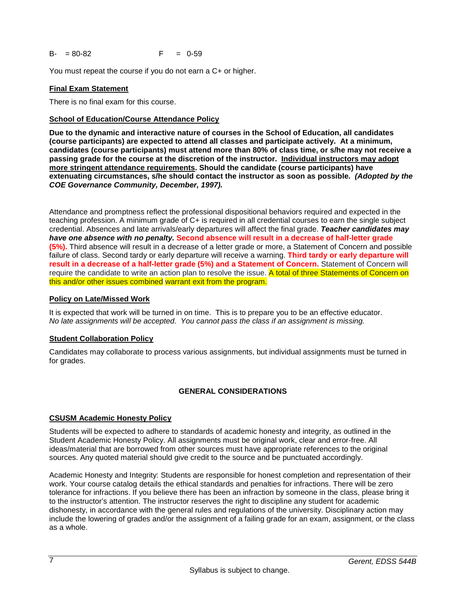$B - = 80 - 82$  F = 0-59

You must repeat the course if you do not earn a C+ or higher.

## **Final Exam Statement**

There is no final exam for this course.

## **School of Education/Course Attendance Policy**

**Due to the dynamic and interactive nature of courses in the School of Education, all candidates (course participants) are expected to attend all classes and participate actively. At a minimum, candidates (course participants) must attend more than 80% of class time, or s/he may not receive a passing grade for the course at the discretion of the instructor. Individual instructors may adopt more stringent attendance requirements. Should the candidate (course participants) have extenuating circumstances, s/he should contact the instructor as soon as possible.** *(Adopted by the COE Governance Community, December, 1997).*

Attendance and promptness reflect the professional dispositional behaviors required and expected in the teaching profession. A minimum grade of C+ is required in all credential courses to earn the single subject credential. Absences and late arrivals/early departures will affect the final grade. *Teacher candidates may have one absence with no penalty.* **Second absence will result in a decrease of half-letter grade (5%).** Third absence will result in a decrease of a letter grade or more, a Statement of Concern and possible failure of class. Second tardy or early departure will receive a warning. **Third tardy or early departure will result in a decrease of a half-letter grade (5%) and a Statement of Concern.** Statement of Concern will require the candidate to write an action plan to resolve the issue. A total of three Statements of Concern on this and/or other issues combined warrant exit from the program.

## **Policy on Late/Missed Work**

It is expected that work will be turned in on time. This is to prepare you to be an effective educator. *No late assignments will be accepted. You cannot pass the class if an assignment is missing.*

## **Student Collaboration Policy**

Candidates may collaborate to process various assignments, but individual assignments must be turned in for grades.

# **GENERAL CONSIDERATIONS**

## **CSUSM Academic Honesty Policy**

Students will be expected to adhere to standards of academic honesty and integrity, as outlined in the Student Academic Honesty Policy. All assignments must be original work, clear and error-free. All ideas/material that are borrowed from other sources must have appropriate references to the original sources. Any quoted material should give credit to the source and be punctuated accordingly.

Academic Honesty and Integrity: Students are responsible for honest completion and representation of their work. Your course catalog details the ethical standards and penalties for infractions. There will be zero tolerance for infractions. If you believe there has been an infraction by someone in the class, please bring it to the instructor's attention. The instructor reserves the right to discipline any student for academic dishonesty, in accordance with the general rules and regulations of the university. Disciplinary action may include the lowering of grades and/or the assignment of a failing grade for an exam, assignment, or the class as a whole.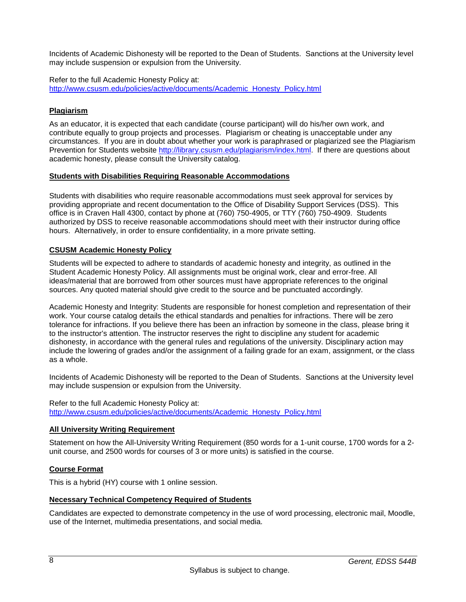Incidents of Academic Dishonesty will be reported to the Dean of Students. Sanctions at the University level may include suspension or expulsion from the University.

Refer to the full Academic Honesty Policy at: [http://www.csusm.edu/policies/active/documents/Academic\\_Honesty\\_Policy.html](http://www.csusm.edu/policies/active/documents/Academic_Honesty_Policy.html)

# **Plagiarism**

As an educator, it is expected that each candidate (course participant) will do his/her own work, and contribute equally to group projects and processes. Plagiarism or cheating is unacceptable under any circumstances. If you are in doubt about whether your work is paraphrased or plagiarized see the Plagiarism Prevention for Students website [http://library.csusm.edu/plagiarism/index.html.](http://library.csusm.edu/plagiarism/index.html) If there are questions about academic honesty, please consult the University catalog.

## **Students with Disabilities Requiring Reasonable Accommodations**

Students with disabilities who require reasonable accommodations must seek approval for services by providing appropriate and recent documentation to the Office of Disability Support Services (DSS). This office is in Craven Hall 4300, contact by phone at (760) 750-4905, or TTY (760) 750-4909. Students authorized by DSS to receive reasonable accommodations should meet with their instructor during office hours. Alternatively, in order to ensure confidentiality, in a more private setting.

## **CSUSM Academic Honesty Policy**

Students will be expected to adhere to standards of academic honesty and integrity, as outlined in the Student Academic Honesty Policy. All assignments must be original work, clear and error-free. All ideas/material that are borrowed from other sources must have appropriate references to the original sources. Any quoted material should give credit to the source and be punctuated accordingly.

Academic Honesty and Integrity: Students are responsible for honest completion and representation of their work. Your course catalog details the ethical standards and penalties for infractions. There will be zero tolerance for infractions. If you believe there has been an infraction by someone in the class, please bring it to the instructor's attention. The instructor reserves the right to discipline any student for academic dishonesty, in accordance with the general rules and regulations of the university. Disciplinary action may include the lowering of grades and/or the assignment of a failing grade for an exam, assignment, or the class as a whole.

Incidents of Academic Dishonesty will be reported to the Dean of Students. Sanctions at the University level may include suspension or expulsion from the University.

Refer to the full Academic Honesty Policy at: [http://www.csusm.edu/policies/active/documents/Academic\\_Honesty\\_Policy.html](http://www.csusm.edu/policies/active/documents/Academic_Honesty_Policy.html)

## **All University Writing Requirement**

Statement on how the All-University Writing Requirement (850 words for a 1-unit course, 1700 words for a 2 unit course, and 2500 words for courses of 3 or more units) is satisfied in the course.

## **Course Format**

This is a hybrid (HY) course with 1 online session.

# **Necessary Technical Competency Required of Students**

Candidates are expected to demonstrate competency in the use of word processing, electronic mail, Moodle, use of the Internet, multimedia presentations, and social media.